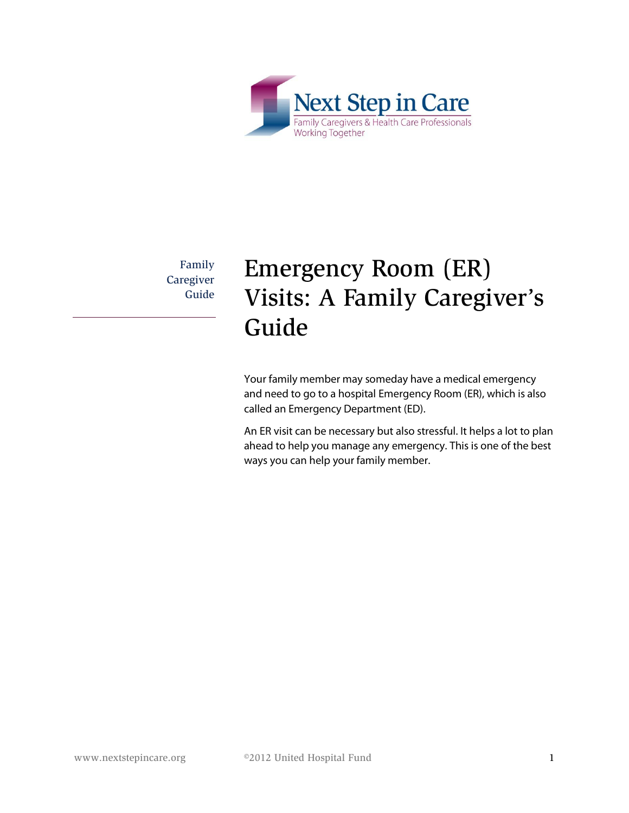

Family **Caregiver** Guide

# Emergency Room (ER) Visits: A Family Caregiver's Guide

Your family member may someday have a medical emergency and need to go to a hospital Emergency Room (ER), which is also called an Emergency Department (ED).

An ER visit can be necessary but also stressful. It helps a lot to plan ahead to help you manage any emergency. This is one of the best ways you can help your family member.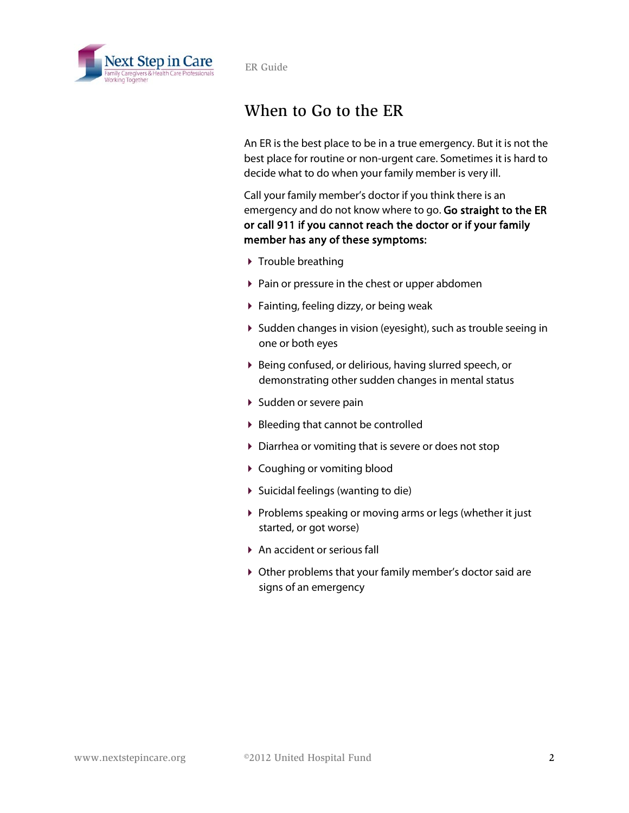

## When to Go to the ER

An ER is the best place to be in a true emergency. But it is not the best place for routine or non-urgent care. Sometimes it is hard to decide what to do when your family member is very ill.

Call your family member's doctor if you think there is an emergency and do not know where to go. Go straight to the ER or call 911 if you cannot reach the doctor or if your family member has any of these symptoms:

- $\triangleright$  Trouble breathing
- $\triangleright$  Pain or pressure in the chest or upper abdomen
- Fainting, feeling dizzy, or being weak
- Sudden changes in vision (eyesight), such as trouble seeing in one or both eyes
- Being confused, or delirious, having slurred speech, or demonstrating other sudden changes in mental status
- ▶ Sudden or severe pain
- ▶ Bleeding that cannot be controlled
- Diarrhea or vomiting that is severe or does not stop
- ▶ Coughing or vomiting blood
- Suicidal feelings (wanting to die)
- Problems speaking or moving arms or legs (whether it just started, or got worse)
- ▶ An accident or serious fall
- Other problems that your family member's doctor said are signs of an emergency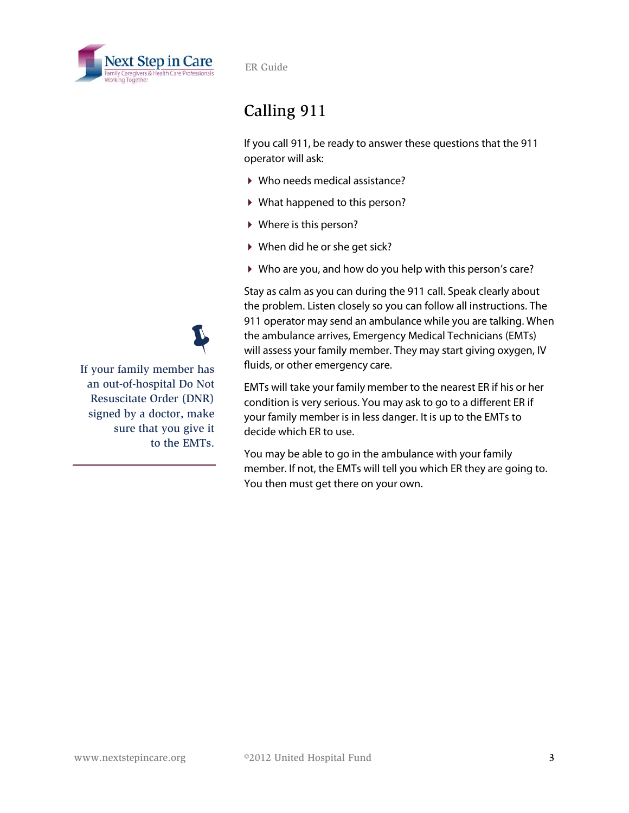

# Calling 911

If you call 911, be ready to answer these questions that the 911 operator will ask:

- ▶ Who needs medical assistance?
- What happened to this person?
- Where is this person?
- ▶ When did he or she get sick?
- Who are you, and how do you help with this person's care?

Stay as calm as you can during the 911 call. Speak clearly about the problem. Listen closely so you can follow all instructions. The 911 operator may send an ambulance while you are talking. When the ambulance arrives, Emergency Medical Technicians (EMTs) will assess your family member. They may start giving oxygen, IV fluids, or other emergency care.

EMTs will take your family member to the nearest ER if his or her condition is very serious. You may ask to go to a different ER if your family member is in less danger. It is up to the EMTs to decide which ER to use.

You may be able to go in the ambulance with your family member. If not, the EMTs will tell you which ER they are going to. You then must get there on your own.

If your family member has  $\ddot{\psi}$ an out-of-hospital Do Not Resuscitate Order (DNR) signed by a doctor, make sure that you give it to the EMTs.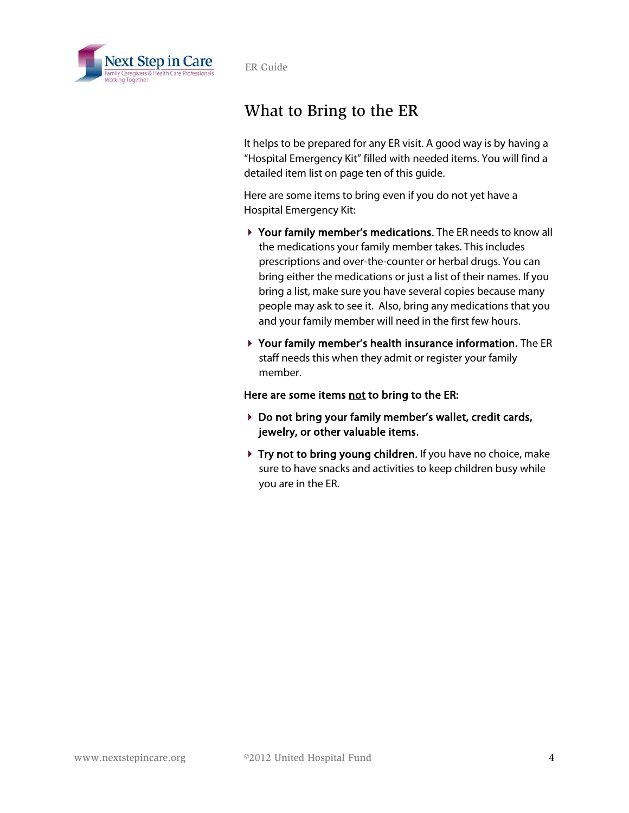

## What to Bring to the ER

It helps to be prepared for any ER visit. A good way is by having a "Hospital Emergency Kit" filled with needed items. You will find a detailed item list on page ten of this guide.

Here are some items to bring even if you do not yet have a Hospital Emergency Kit:

- Your family member's medications. The ER needs to know all the medications your family member takes. This includes prescriptions and over-the-counter or herbal drugs. You can bring either the medications or just a list of their names. If you bring a list, make sure you have several copies because many people may ask to see it. Also, bring any medications that you and your family member will need in the first few hours.
- Your family member's health insurance information. The ER staff needs this when they admit or register your family member.

Here are some items not to bring to the ER:

- ▶ Do not bring your family member's wallet, credit cards, jewelry, or other valuable items.
- ▶ Try not to bring young children. If you have no choice, make sure to have snacks and activities to keep children busy while you are in the ER.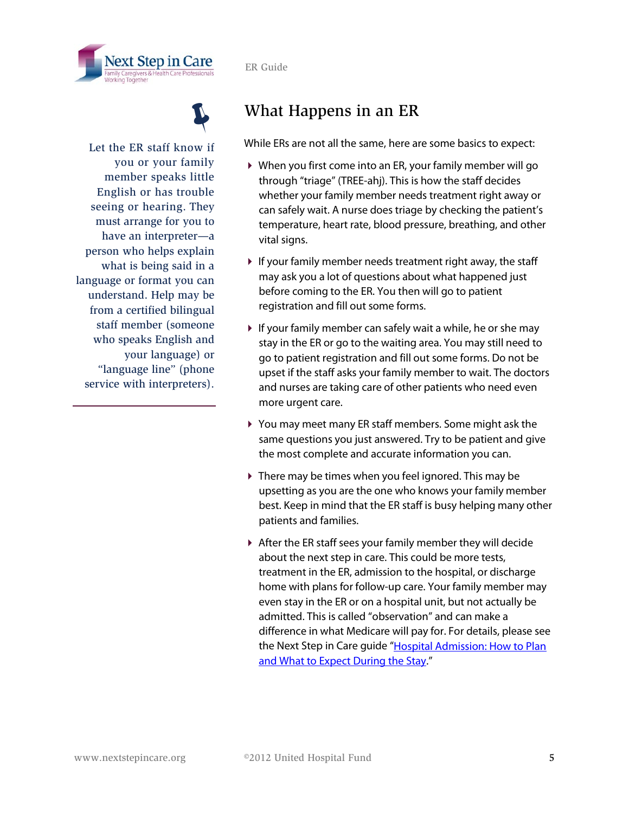





Let the ER staff know if you or your family member speaks little English or has trouble seeing or hearing. They must arrange for you to have an interpreter—a person who helps explain what is being said in a language or format you can understand. Help may be from a certified bilingual staff member (someone who speaks English and your language) or "language line" (phone service with interpreters).

## What Happens in an ER

While ERs are not all the same, here are some basics to expect:

- When you first come into an ER, your family member will go through "triage" (TREE-ahj). This is how the staff decides whether your family member needs treatment right away or can safely wait. A nurse does triage by checking the patient's temperature, heart rate, blood pressure, breathing, and other vital signs.
- $\blacktriangleright$  If your family member needs treatment right away, the staff may ask you a lot of questions about what happened just before coming to the ER. You then will go to patient registration and fill out some forms.
- $\blacktriangleright$  If your family member can safely wait a while, he or she may stay in the ER or go to the waiting area. You may still need to go to patient registration and fill out some forms. Do not be upset if the staff asks your family member to wait. The doctors and nurses are taking care of other patients who need even more urgent care.
- You may meet many ER staff members. Some might ask the same questions you just answered. Try to be patient and give the most complete and accurate information you can.
- There may be times when you feel ignored. This may be upsetting as you are the one who knows your family member best. Keep in mind that the ER staff is busy helping many other patients and families.
- After the ER staff sees your family member they will decide about the next step in care. This could be more tests, treatment in the ER, admission to the hospital, or discharge home with plans for follow-up care. Your family member may even stay in the ER or on a hospital unit, but not actually be admitted. This is called "observation" and can make a difference in what Medicare will pay for. For details, please see the Next Step in Care guide "Hospital Admission: How to Plan [and What to Expect During the Stay.](http://nextstepincare.org/Caregiver_Home/Hospital_Admissions/)"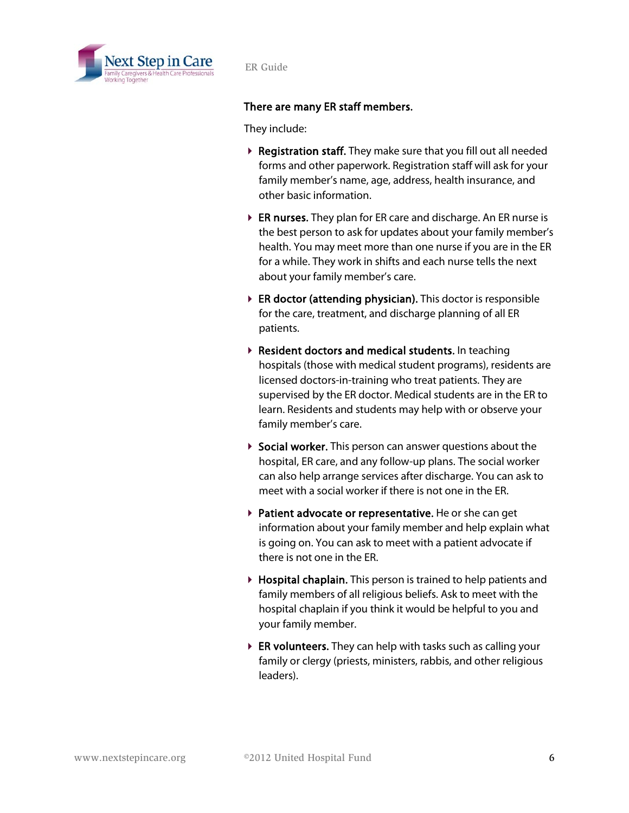

#### There are many ER staff members.

They include:

- ▶ Registration staff. They make sure that you fill out all needed forms and other paperwork. Registration staff will ask for your family member's name, age, address, health insurance, and other basic information.
- ER nurses. They plan for ER care and discharge. An ER nurse is the best person to ask for updates about your family member's health. You may meet more than one nurse if you are in the ER for a while. They work in shifts and each nurse tells the next about your family member's care.
- ▶ ER doctor (attending physician). This doctor is responsible for the care, treatment, and discharge planning of all ER patients.
- ▶ Resident doctors and medical students. In teaching hospitals (those with medical student programs), residents are licensed doctors-in-training who treat patients. They are supervised by the ER doctor. Medical students are in the ER to learn. Residents and students may help with or observe your family member's care.
- ▶ Social worker. This person can answer questions about the hospital, ER care, and any follow-up plans. The social worker can also help arrange services after discharge. You can ask to meet with a social worker if there is not one in the ER.
- **Patient advocate or representative.** He or she can get information about your family member and help explain what is going on. You can ask to meet with a patient advocate if there is not one in the ER.
- Hospital chaplain. This person is trained to help patients and family members of all religious beliefs. Ask to meet with the hospital chaplain if you think it would be helpful to you and your family member.
- ▶ ER volunteers. They can help with tasks such as calling your family or clergy (priests, ministers, rabbis, and other religious leaders).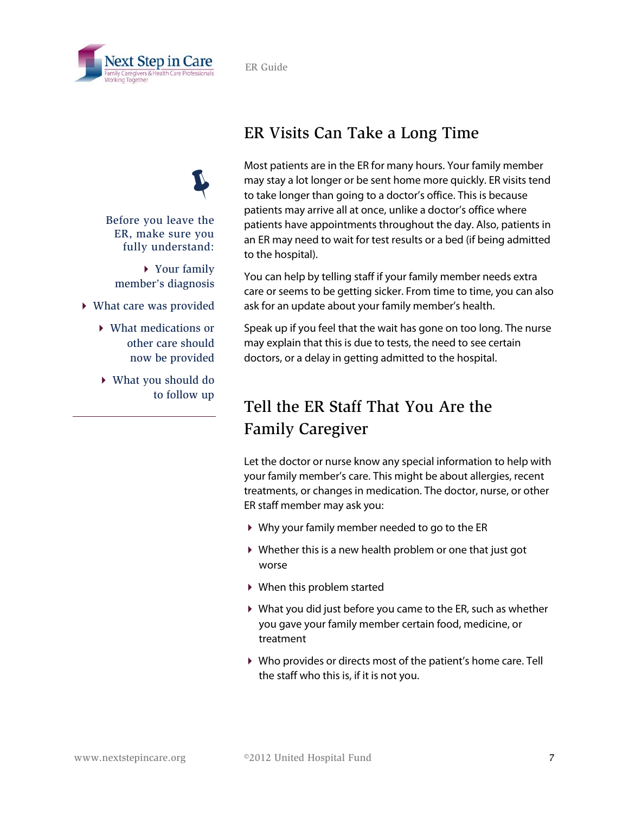

Before you leave the ER, make sure you fully understand:

 $\ddot{\psi}$ 

▶ Your family member's diagnosis

- What care was provided
	- What medications or other care should now be provided
	- What you should do to follow up

#### ER Visits Can Take a Long Time

Most patients are in the ER for many hours. Your family member may stay a lot longer or be sent home more quickly. ER visits tend to take longer than going to a doctor's office. This is because patients may arrive all at once, unlike a doctor's office where patients have appointments throughout the day. Also, patients in an ER may need to wait for test results or a bed (if being admitted to the hospital).

You can help by telling staff if your family member needs extra care or seems to be getting sicker. From time to time, you can also ask for an update about your family member's health.

Speak up if you feel that the wait has gone on too long. The nurse may explain that this is due to tests, the need to see certain doctors, or a delay in getting admitted to the hospital.

## Tell the ER Staff That You Are the Family Caregiver

Let the doctor or nurse know any special information to help with your family member's care. This might be about allergies, recent treatments, or changes in medication. The doctor, nurse, or other ER staff member may ask you:

- Why your family member needed to go to the ER
- Whether this is a new health problem or one that just got worse
- When this problem started
- What you did just before you came to the ER, such as whether you gave your family member certain food, medicine, or treatment
- Who provides or directs most of the patient's home care. Tell the staff who this is, if it is not you.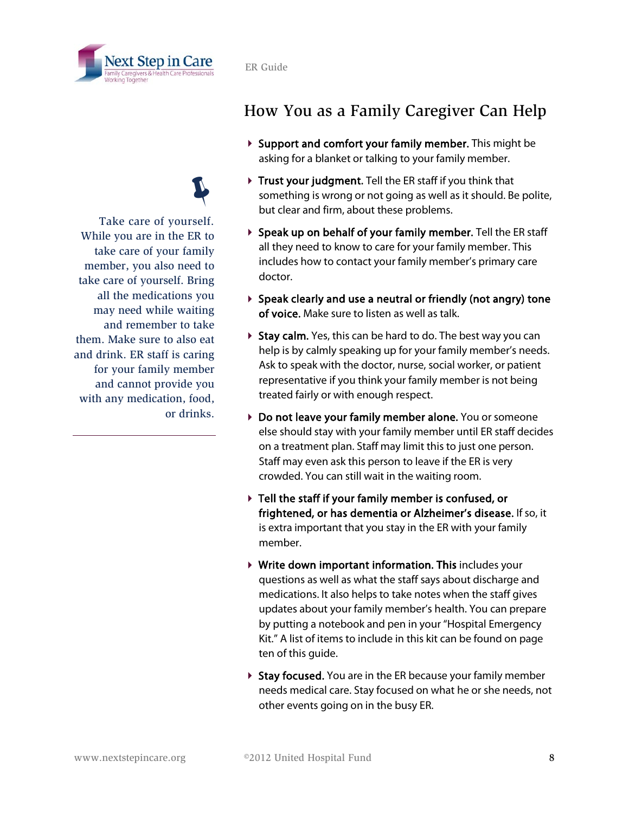

#### Take care of yourself.  $\ddot{\psi}$ While you are in the ER to take care of your family member, you also need to take care of yourself. Bring all the medications you may need while waiting and remember to take them. Make sure to also eat and drink. ER staff is caring for your family member and cannot provide you with any medication, food, or drinks.

# How You as a Family Caregiver Can Help

- ▶ Support and comfort your family member. This might be asking for a blanket or talking to your family member.
- Trust your judgment. Tell the ER staff if you think that something is wrong or not going as well as it should. Be polite, but clear and firm, about these problems.
- Speak up on behalf of your family member. Tell the ER staff all they need to know to care for your family member. This includes how to contact your family member's primary care doctor.
- $\triangleright$  Speak clearly and use a neutral or friendly (not angry) tone of voice. Make sure to listen as well as talk.
- $\triangleright$  Stay calm. Yes, this can be hard to do. The best way you can help is by calmly speaking up for your family member's needs. Ask to speak with the doctor, nurse, social worker, or patient representative if you think your family member is not being treated fairly or with enough respect.
- ▶ Do not leave your family member alone. You or someone else should stay with your family member until ER staff decides on a treatment plan. Staff may limit this to just one person. Staff may even ask this person to leave if the ER is very crowded. You can still wait in the waiting room.
- Tell the staff if your family member is confused, or frightened, or has dementia or Alzheimer's disease. If so, it is extra important that you stay in the ER with your family member.
- Write down important information. This includes your questions as well as what the staff says about discharge and medications. It also helps to take notes when the staff gives updates about your family member's health. You can prepare by putting a notebook and pen in your "Hospital Emergency Kit." A list of items to include in this kit can be found on page ten of this guide.
- ▶ Stay focused. You are in the ER because your family member needs medical care. Stay focused on what he or she needs, not other events going on in the busy ER.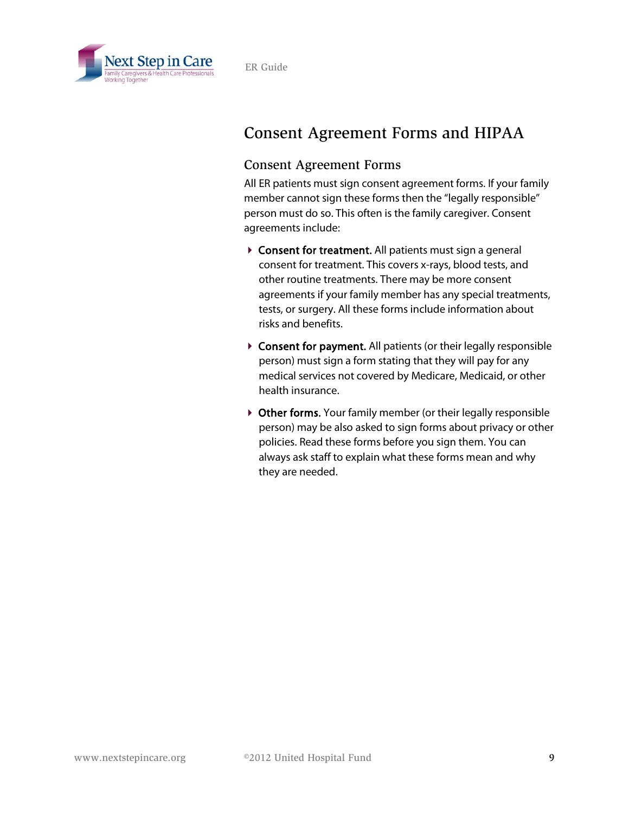

#### Consent Agreement Forms and HIPAA

#### Consent Agreement Forms

All ER patients must sign consent agreement forms. If your family member cannot sign these forms then the "legally responsible" person must do so. This often is the family caregiver. Consent agreements include:

- ▶ Consent for treatment. All patients must sign a general consent for treatment. This covers x-rays, blood tests, and other routine treatments. There may be more consent agreements if your family member has any special treatments, tests, or surgery. All these forms include information about risks and benefits.
- ▶ Consent for payment. All patients (or their legally responsible person) must sign a form stating that they will pay for any medical services not covered by Medicare, Medicaid, or other health insurance.
- ▶ Other forms. Your family member (or their legally responsible person) may be also asked to sign forms about privacy or other policies. Read these forms before you sign them. You can always ask staff to explain what these forms mean and why they are needed.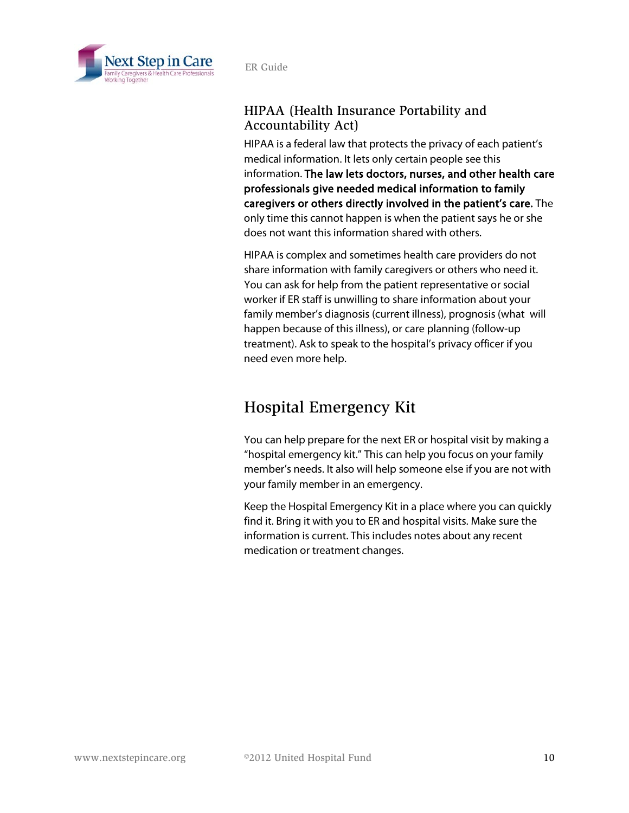

#### HIPAA (Health Insurance Portability and Accountability Act)

HIPAA is a federal law that protects the privacy of each patient's medical information. It lets only certain people see this information. The law lets doctors, nurses, and other health care professionals give needed medical information to family caregivers or others directly involved in the patient's care. The only time this cannot happen is when the patient says he or she does not want this information shared with others.

HIPAA is complex and sometimes health care providers do not share information with family caregivers or others who need it. You can ask for help from the patient representative or social worker if ER staff is unwilling to share information about your family member's diagnosis (current illness), prognosis (what will happen because of this illness), or care planning (follow-up treatment). Ask to speak to the hospital's privacy officer if you need even more help.

### Hospital Emergency Kit

You can help prepare for the next ER or hospital visit by making a "hospital emergency kit." This can help you focus on your family member's needs. It also will help someone else if you are not with your family member in an emergency.

Keep the Hospital Emergency Kit in a place where you can quickly find it. Bring it with you to ER and hospital visits. Make sure the information is current. This includes notes about any recent medication or treatment changes.